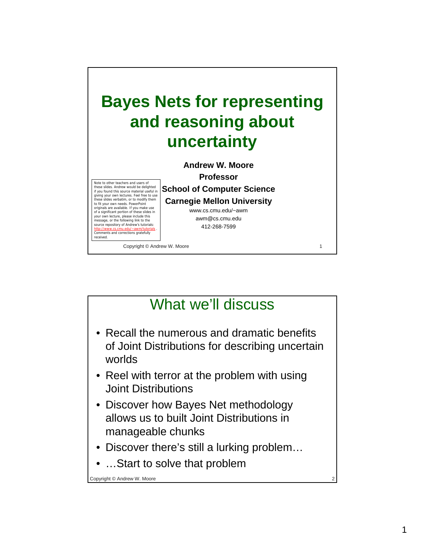

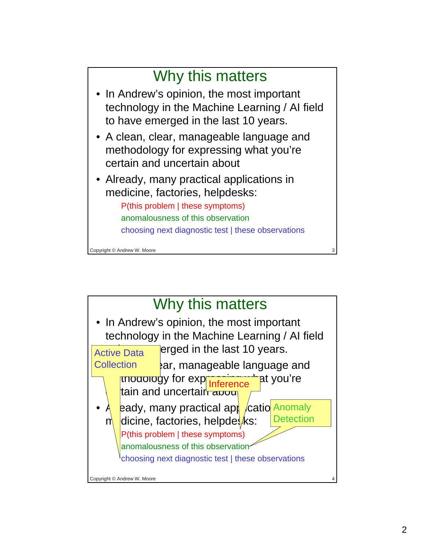

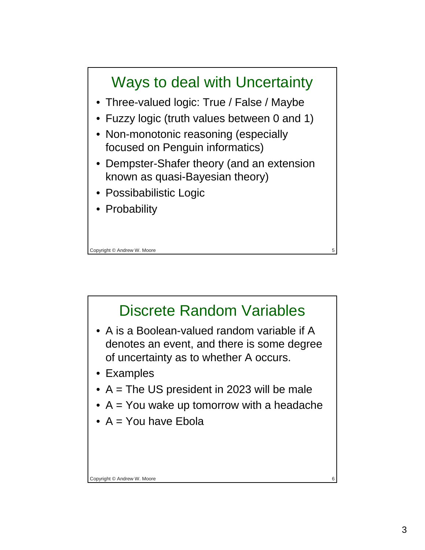

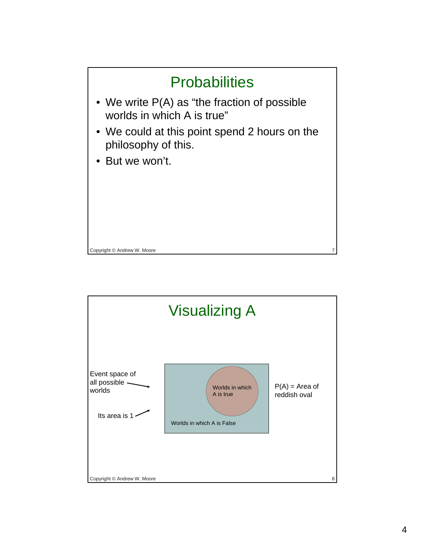

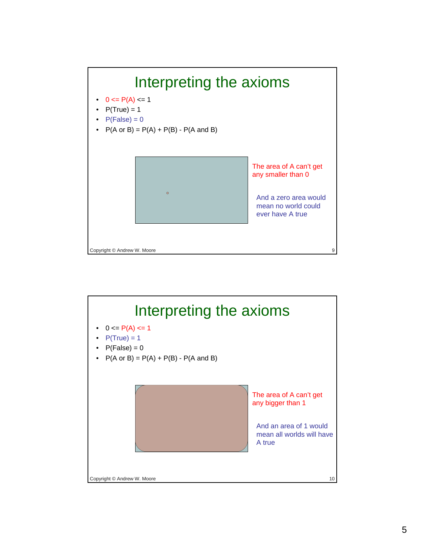

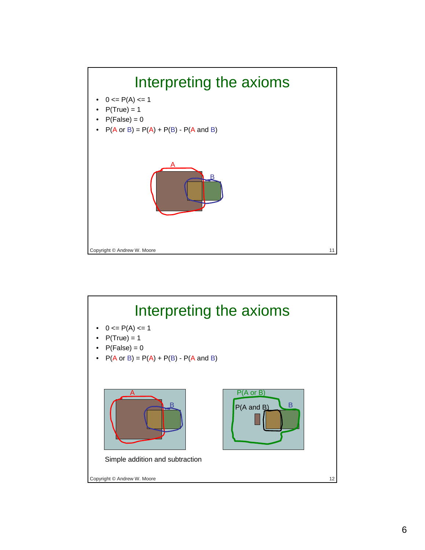

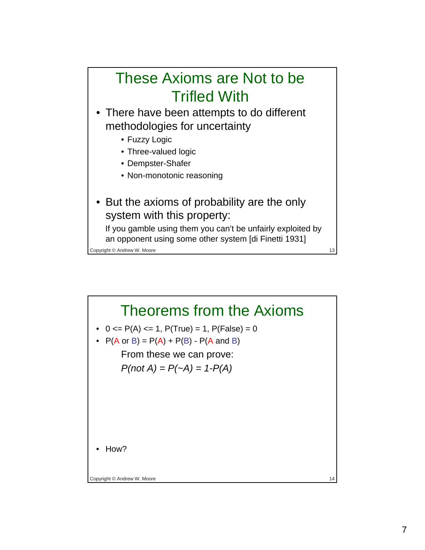### These Axioms are Not to be Trifled With

• There have been attempts to do different methodologies for uncertainty

- Fuzzy Logic
- Three-valued logic
- Dempster-Shafer
- Non-monotonic reasoning
- But the axioms of probability are the only system with this property:

If you gamble using them you can't be unfairly exploited by an opponent using some other system [di Finetti 1931]

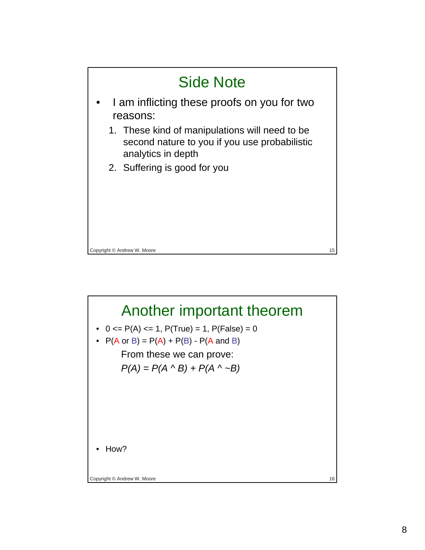

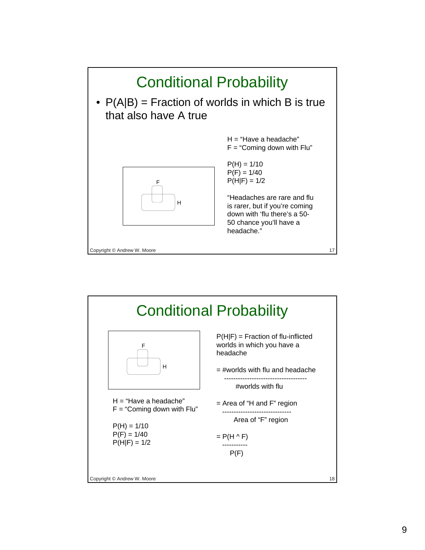

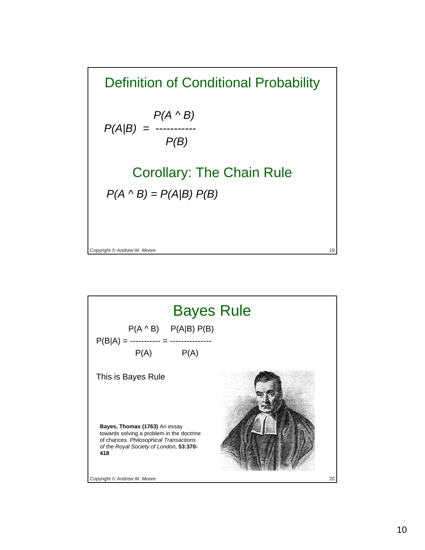Definition of Conditional Probability *P(A ^ B) P(A|B) = ----------- P(B)*  Corollary: The Chain Rule *P(A ^ B) = P(A|B) P(B)* 

Copyright © Andrew W. Moore 19 and 19 and 19 and 19 and 19 and 19 and 19 and 19 and 19 and 19 and 19 and 19 and 19 and 19 and 19 and 19 and 19 and 19 and 19 and 19 and 19 and 19 and 19 and 19 and 19 and 19 and 19 and 19 a

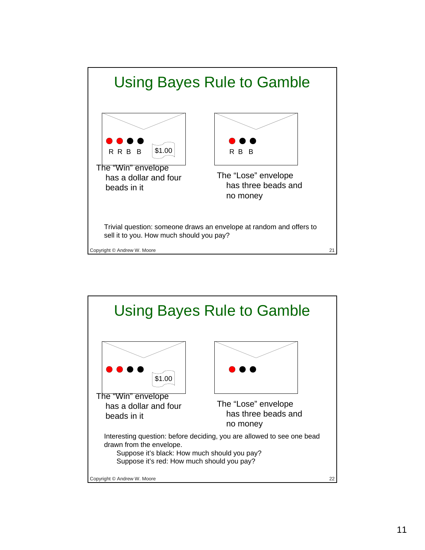

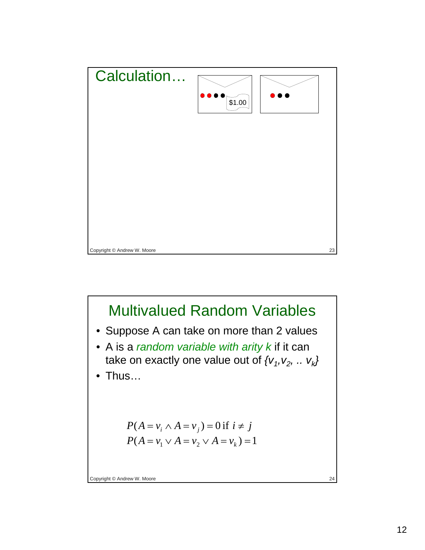

# Multivalued Random Variables

- Suppose A can take on more than 2 values
- A is a *random variable with arity k* if it can take on exactly one value out of  $\{v_1, v_2, \ldots v_k\}$
- Thus…

$$
P(A = v_i \land A = v_j) = 0 \text{ if } i \neq j
$$
  

$$
P(A = v_1 \lor A = v_2 \lor A = v_k) = 1
$$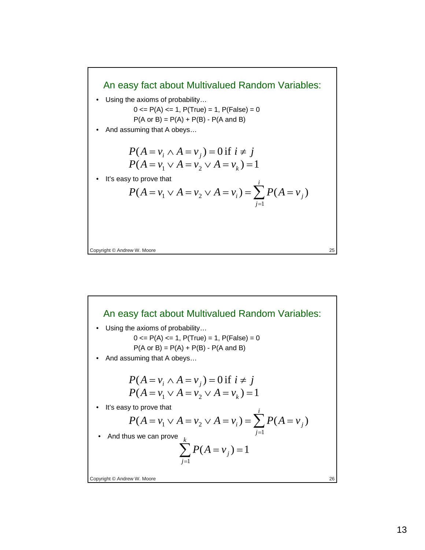#### An easy fact about Multivalued Random Variables:

• Using the axioms of probability…

$$
0 \le P(A) \le 1, P(True) = 1, P(False) = 0
$$

 $P(A \text{ or } B) = P(A) + P(B) - P(A \text{ and } B)$ 

• And assuming that A obeys…

$$
P(A = v_i \land A = v_j) = 0 \text{ if } i \neq j
$$
  

$$
P(A = v_1 \lor A = v_2 \lor A = v_k) = 1
$$

It's easy to prove that

$$
P(A = v_1 \vee A = v_2 \vee A = v_i) = \sum_{j=1}^{i} P(A = v_j)
$$

Copyright © Andrew W. Moore 25

Copyright © Andrew W. Moore 26 An easy fact about Multivalued Random Variables: • Using the axioms of probability…  $0 \le P(A) \le 1$ ,  $P(True) = 1$ ,  $P(False) = 0$  $P(A \text{ or } B) = P(A) + P(B) - P(A \text{ and } B)$ • And assuming that A obeys… • It's easy to prove that  $P(A = v_i \wedge A = v_j) = 0$  if  $i \neq j$  $P(A = v_1 \vee A = v_2 \vee A = v_k) = 1$  $(A = v_1 \vee A = v_2 \vee A = v_i) = \sum P(A = v_i)$  $= v_1 \vee A = v_2 \vee A = v_i$   $= \sum_{j=1} P(A =$ *i j*  $P(A = v_1 \vee A = v_2 \vee A = v_i) = \sum P(A = v_i)$ • And thus we can prove  $(A = v_i) = 1$  $\sum_{j=1}^{k} P(A = v_j) =$ *j*  $P(A = v_j)$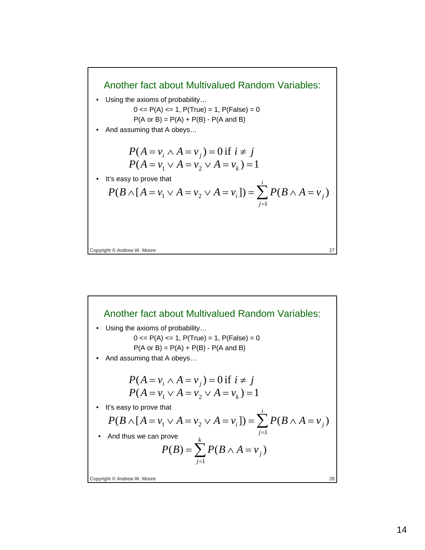#### Another fact about Multivalued Random Variables:

• Using the axioms of probability…

$$
0 \le P(A) \le 1, P(True) = 1, P(False) = 0
$$

 $P(A \text{ or } B) = P(A) + P(B) - P(A \text{ and } B)$ 

• And assuming that A obeys…

$$
P(A = v_i \land A = v_j) = 0 \text{ if } i \neq j
$$
  

$$
P(A = v_1 \lor A = v_2 \lor A = v_k) = 1
$$

• It's easy to prove that

$$
P(B \wedge [A = v_1 \vee A = v_2 \vee A = v_i]) = \sum_{j=1}^{i} P(B \wedge A = v_j)
$$

Copyright © Andrew W. Moore 27

Copyright © Andrew W. Moore 28 Another fact about Multivalued Random Variables: • Using the axioms of probability…  $0 \le P(A) \le 1$ ,  $P(True) = 1$ ,  $P(False) = 0$  $P(A \text{ or } B) = P(A) + P(B) - P(A \text{ and } B)$ • And assuming that A obeys… • It's easy to prove that  $P(A = v_i \wedge A = v_j) = 0$  if  $i \neq j$  $P(A = v_1 \vee A = v_2 \vee A = v_k) = 1$  $(B \wedge [A = v_1 \vee A = v_2 \vee A = v_i]) = \sum P(B \wedge A = v_i)$  $\wedge [A = v_1 \vee A = v_2 \vee A = v_i]) = \sum_{j=1} P(B \wedge A =$ *i j*  $P(B \wedge [A = v_1 \vee A = v_2 \vee A = v_i]) = \sum P(B \wedge A = v_i)$ • And thus we can prove  $(B) = \sum P(B \wedge A = v_i)$  $=\sum_{j=1}P(B\wedge A=$ *k j*  $P(B) = \sum P(B \wedge A = v_j)$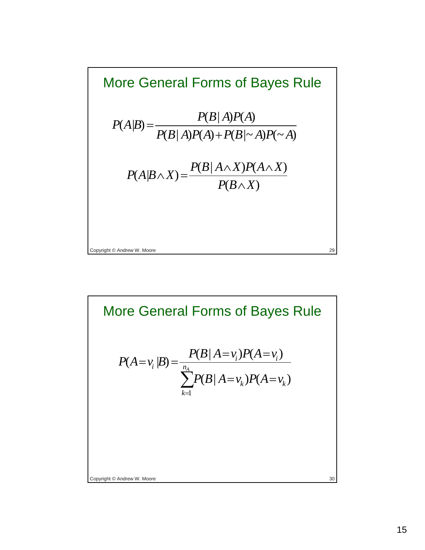

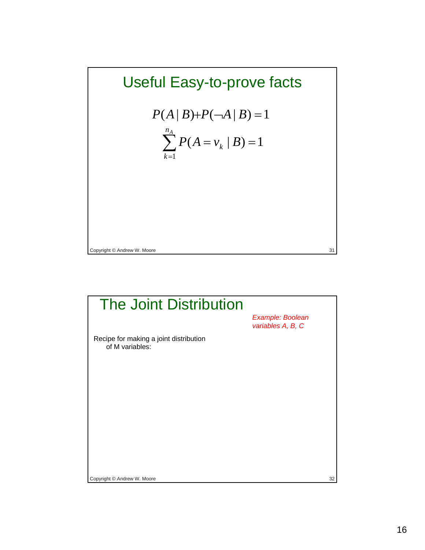## Useful Easy-to-prove facts

$$
P(A | B) + P(\neg A | B) = 1
$$
  

$$
\sum_{k=1}^{n_A} P(A = v_k | B) = 1
$$

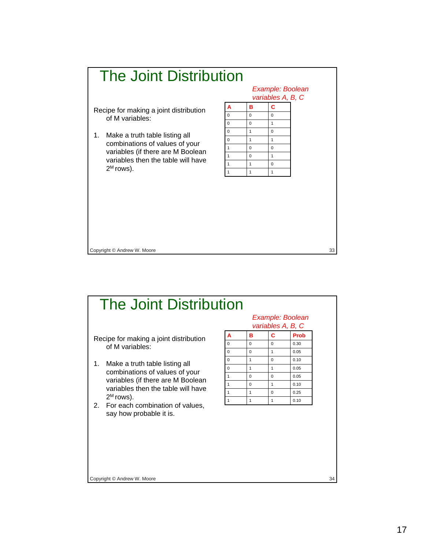

| <b>The Joint Distribution</b>                                                                                                                                                                                    |              |                                       |              |      |    |
|------------------------------------------------------------------------------------------------------------------------------------------------------------------------------------------------------------------|--------------|---------------------------------------|--------------|------|----|
|                                                                                                                                                                                                                  |              | Example: Boolean<br>variables A, B, C |              |      |    |
| Recipe for making a joint distribution<br>of M variables:                                                                                                                                                        | A            | B                                     | Ċ            | Prob |    |
|                                                                                                                                                                                                                  | $\Omega$     | $\Omega$                              | $\Omega$     | 0.30 |    |
|                                                                                                                                                                                                                  | $\Omega$     | $\Omega$                              | $\mathbf{1}$ | 0.05 |    |
| Make a truth table listing all<br>$1_{\cdot}$<br>combinations of values of your<br>variables (if there are M Boolean<br>variables then the table will have<br>$2^M$ rows).<br>2. For each combination of values, | $\Omega$     | $\mathbf{1}$                          | $\Omega$     | 0.10 |    |
|                                                                                                                                                                                                                  | $\Omega$     | $\mathbf{1}$                          | $\mathbf{1}$ | 0.05 |    |
|                                                                                                                                                                                                                  | $\mathbf{1}$ | $\Omega$                              | $\Omega$     | 0.05 |    |
|                                                                                                                                                                                                                  | $\mathbf{1}$ | $\Omega$                              | $\mathbf{1}$ | 0.10 |    |
|                                                                                                                                                                                                                  | $\mathbf{1}$ | 1                                     | $\Omega$     | 0.25 |    |
|                                                                                                                                                                                                                  | 1            | $\mathbf{1}$                          | $\mathbf{1}$ | 0.10 |    |
| say how probable it is.                                                                                                                                                                                          |              |                                       |              |      |    |
| Copyright © Andrew W. Moore                                                                                                                                                                                      |              |                                       |              |      | 34 |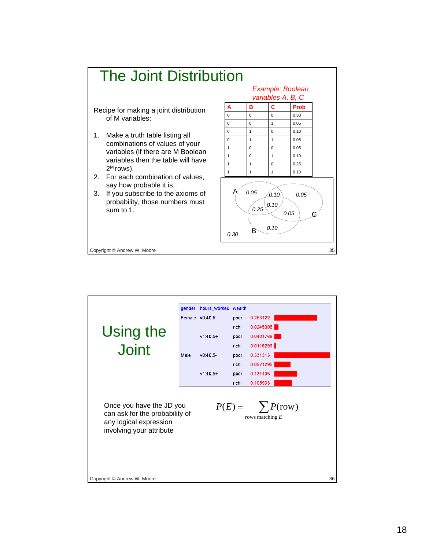

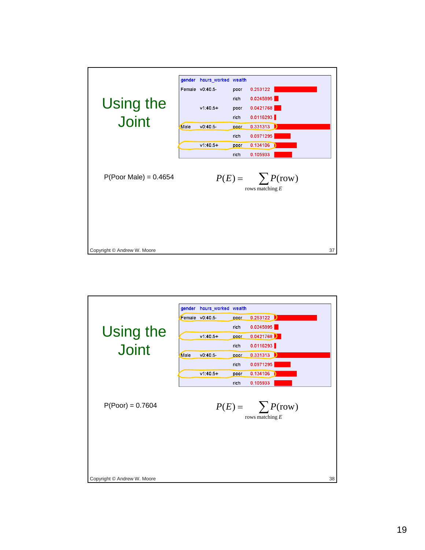

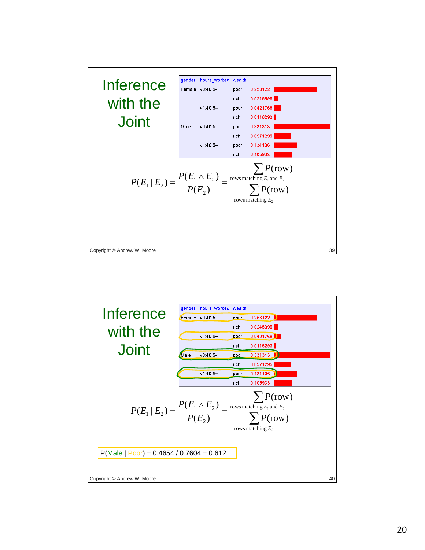

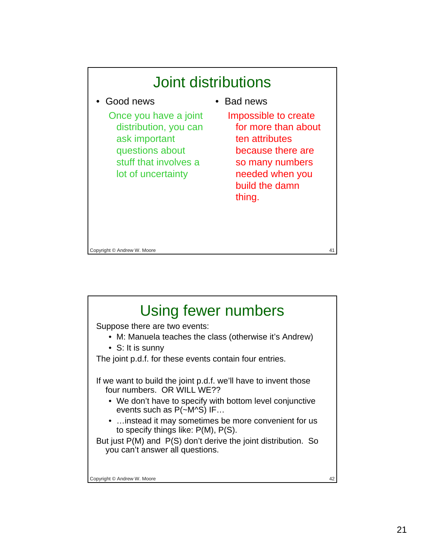

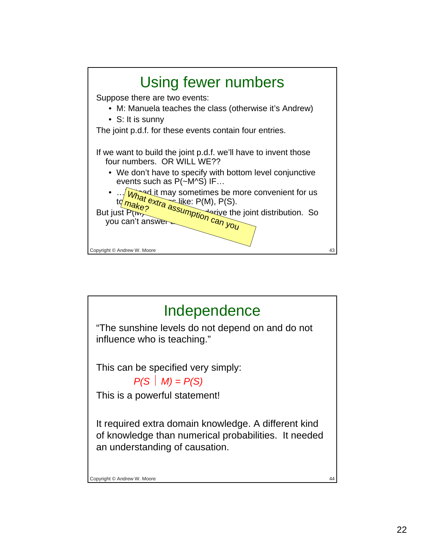

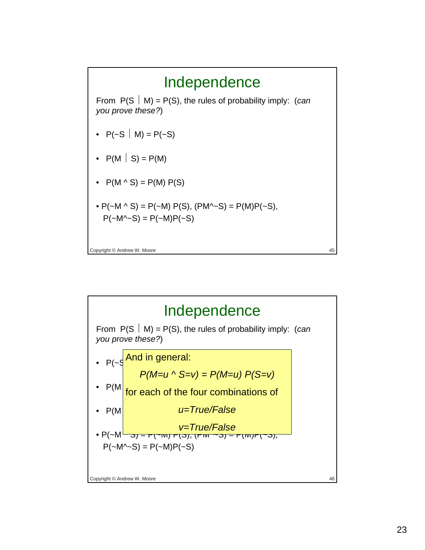

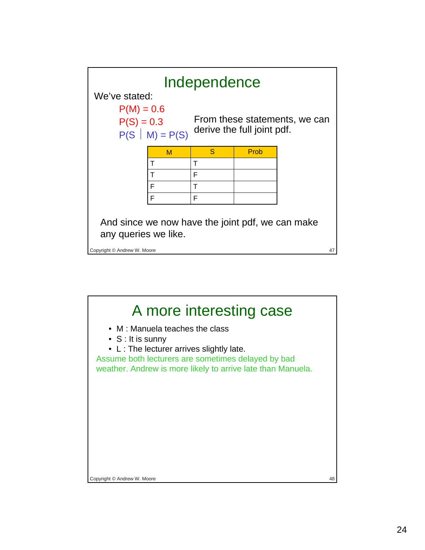

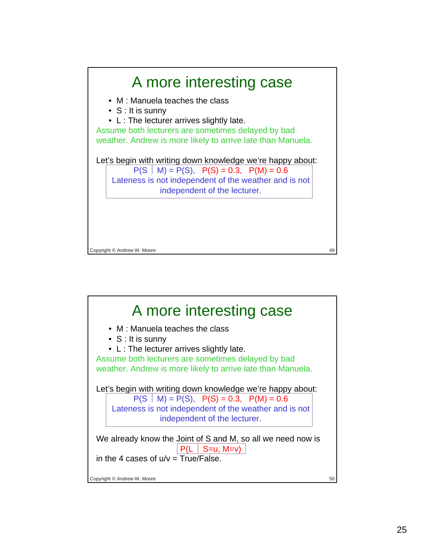

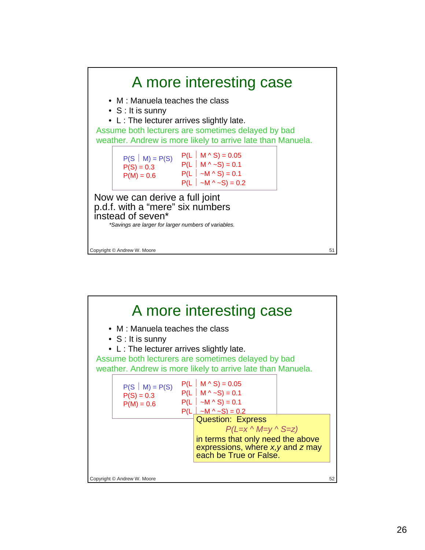

| A more interesting case<br>• M: Manuela teaches the class                                                         |                        |                                                                      |  |    |  |  |  |
|-------------------------------------------------------------------------------------------------------------------|------------------------|----------------------------------------------------------------------|--|----|--|--|--|
| $\bullet$ S: It is sunny                                                                                          |                        |                                                                      |  |    |  |  |  |
| $\bullet$ L : The lecturer arrives slightly late.                                                                 |                        |                                                                      |  |    |  |  |  |
| Assume both lecturers are sometimes delayed by bad<br>weather. Andrew is more likely to arrive late than Manuela. |                        |                                                                      |  |    |  |  |  |
|                                                                                                                   |                        |                                                                      |  |    |  |  |  |
| $P(S   M) = P(S)$                                                                                                 |                        | $P(L \mid M \wedge S) = 0.05$                                        |  |    |  |  |  |
| $P(S) = 0.3$                                                                                                      |                        | $P(L \mid M \wedge \sim S) = 0.1$                                    |  |    |  |  |  |
| $P(M) = 0.6$                                                                                                      |                        | $P(L   ~-M \wedge S) = 0.1$<br>$P(L \mid \neg M \land \neg S) = 0.2$ |  |    |  |  |  |
|                                                                                                                   |                        | <b>Question: Express</b>                                             |  |    |  |  |  |
|                                                                                                                   |                        | $P(L=x \wedge M=y \wedge S=z)$                                       |  |    |  |  |  |
|                                                                                                                   |                        | in terms that only need the above                                    |  |    |  |  |  |
|                                                                                                                   |                        | expressions, where $x, y$ and $z$ may                                |  |    |  |  |  |
|                                                                                                                   | each be True or False. |                                                                      |  |    |  |  |  |
|                                                                                                                   |                        |                                                                      |  |    |  |  |  |
| Copyright © Andrew W. Moore                                                                                       |                        |                                                                      |  | 52 |  |  |  |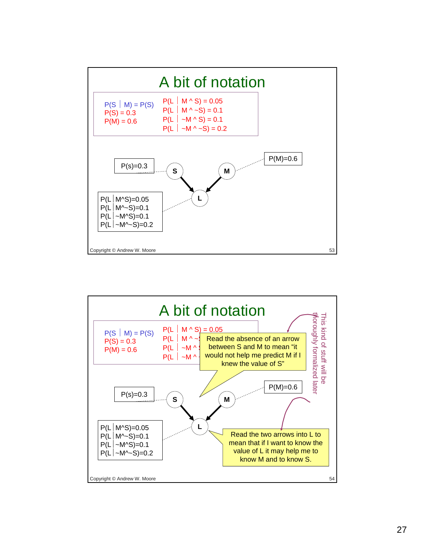

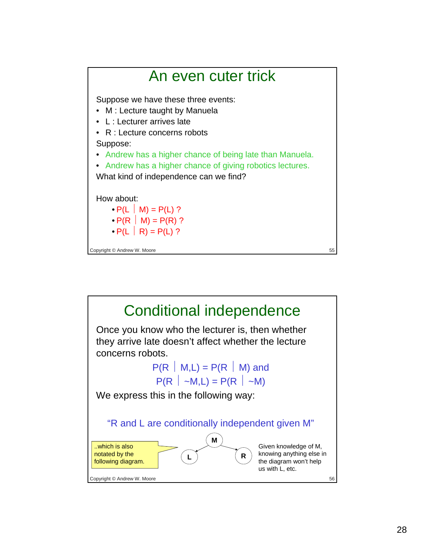

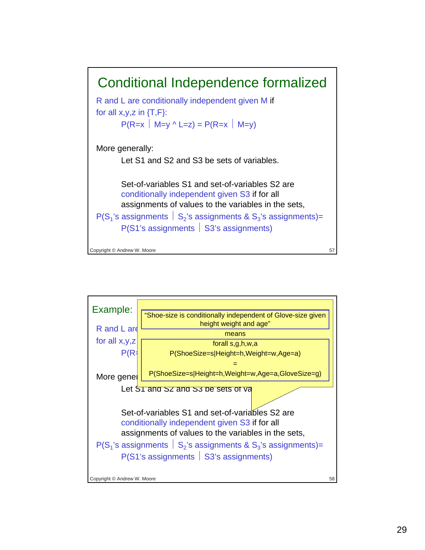

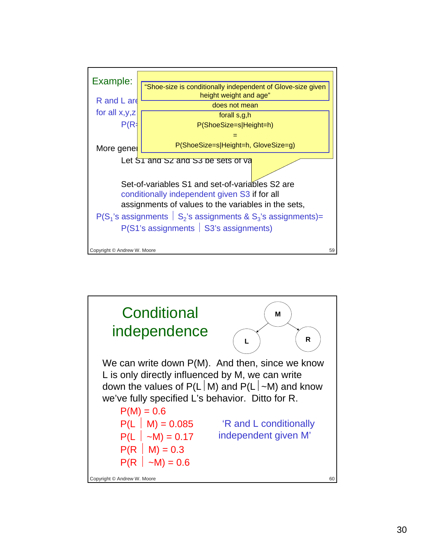

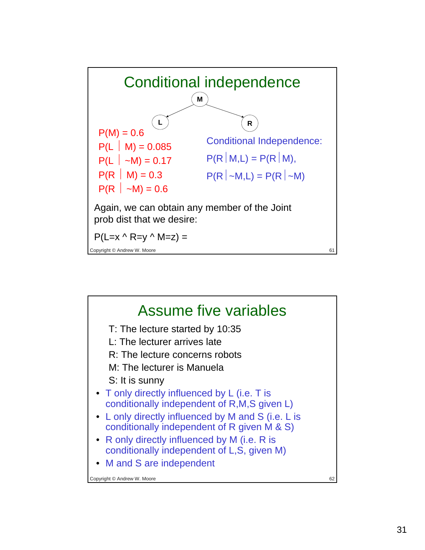

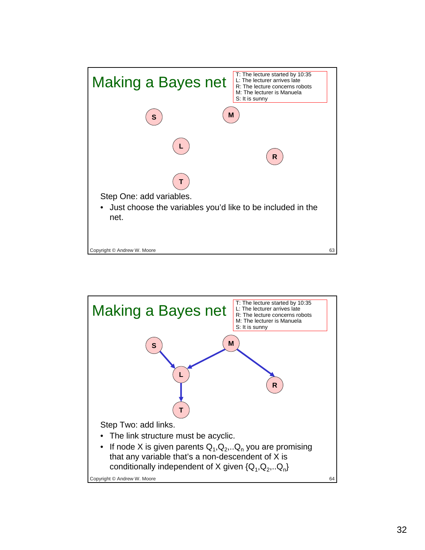

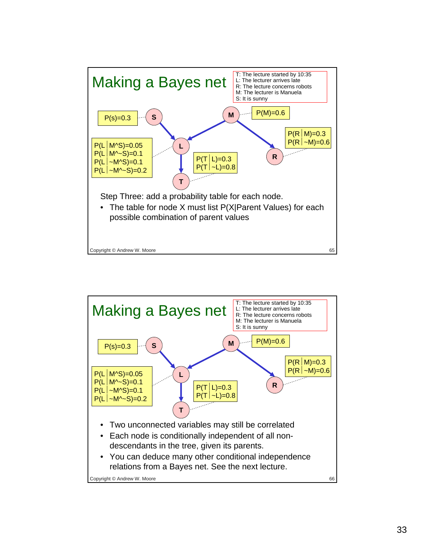

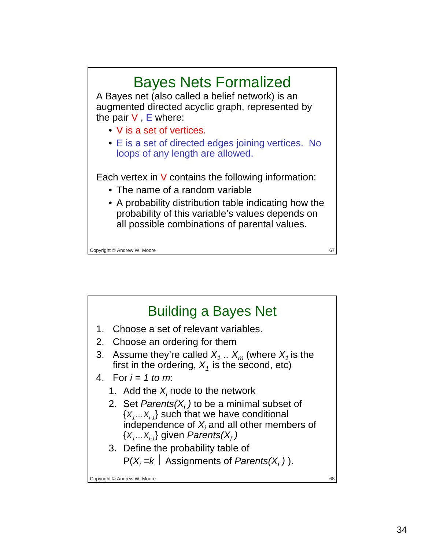### Bayes Nets Formalized A Bayes net (also called a belief network) is an augmented directed acyclic graph, represented by the pair  $V$ ,  $E$  where: • V is a set of vertices. • E is a set of directed edges joining vertices. No loops of any length are allowed. Each vertex in  $V$  contains the following information: • The name of a random variable • A probability distribution table indicating how the probability of this variable's values depends on all possible combinations of parental values.

Copyright © Andrew W. Moore 67 and 1999 and 1999 and 1999 and 1999 and 1999 and 1999 and 1999 and 1999 and 199

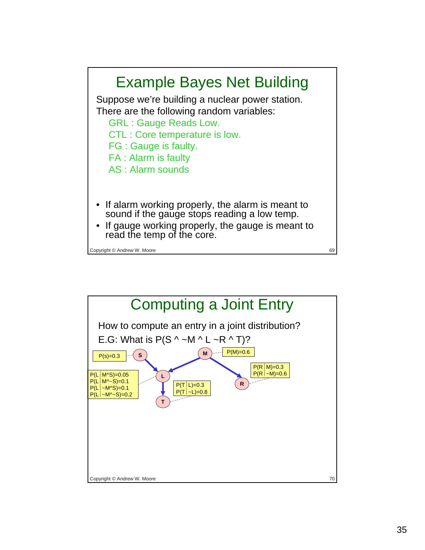

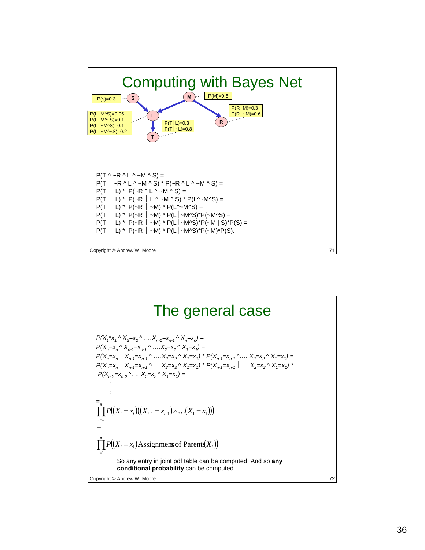

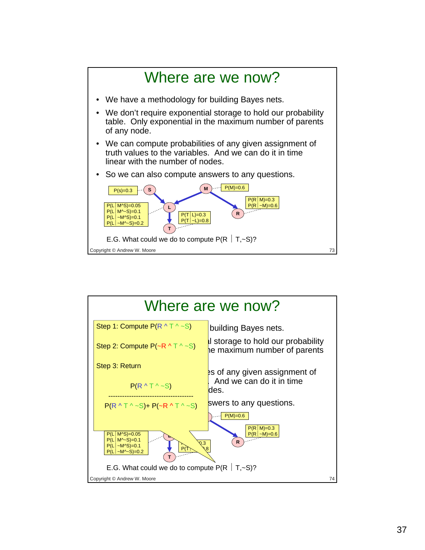

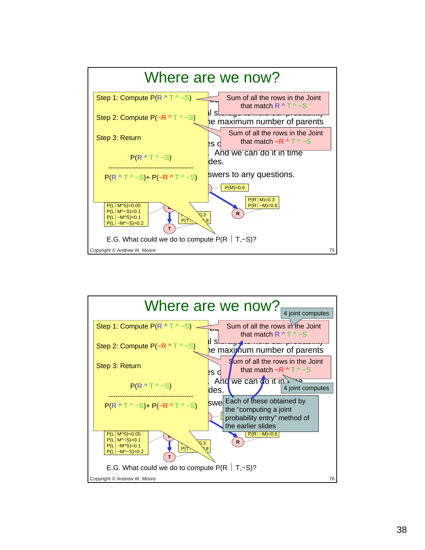

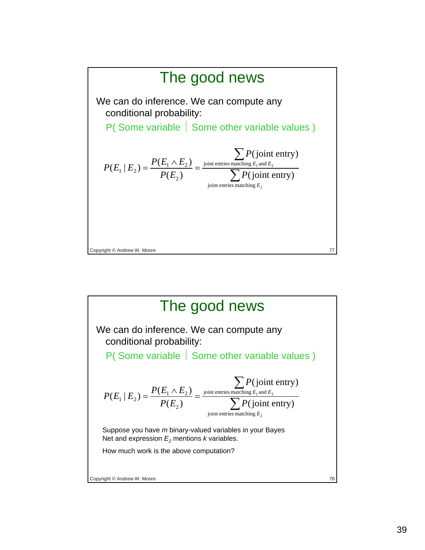

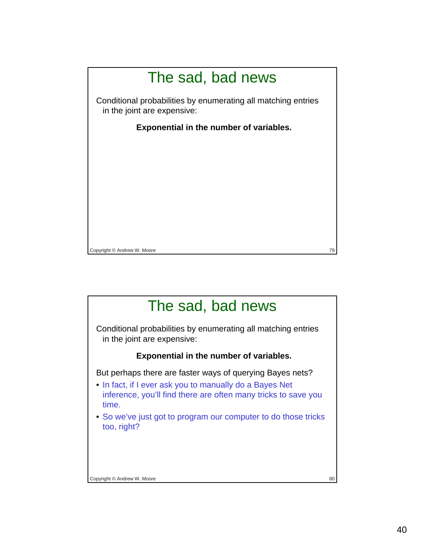

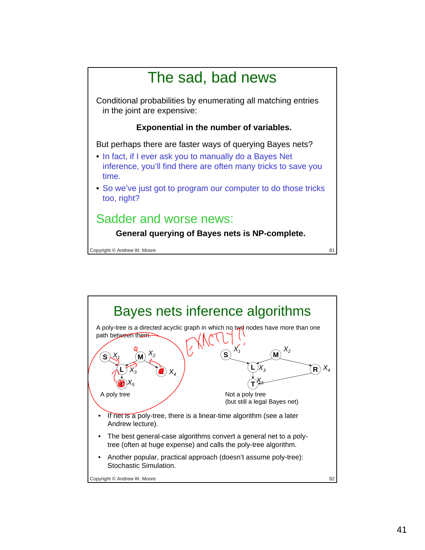

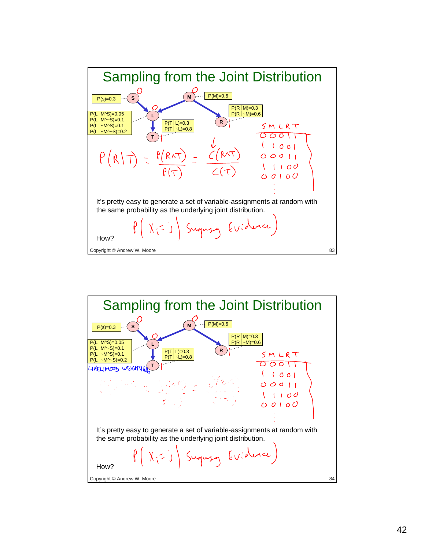

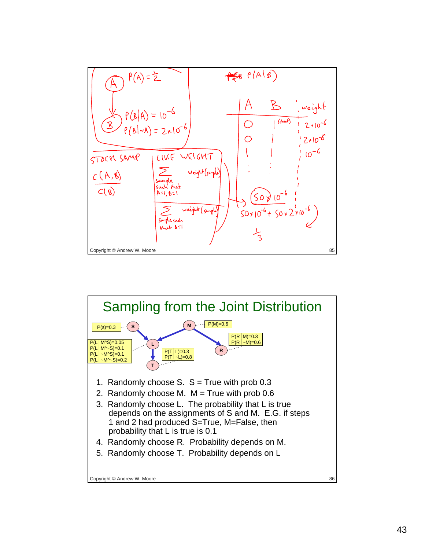

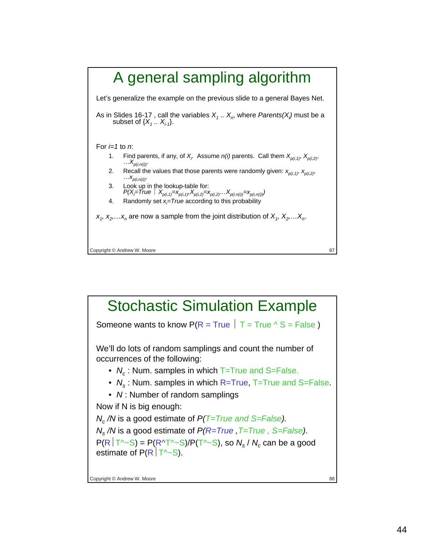

### Copyright © Andrew W. Moore 88 Stochastic Simulation Example Someone wants to know  $P(R = True \mid T = True \land S = False)$ We'll do lots of random samplings and count the number of occurrences of the following: • *N<sub>c</sub>*: Num. samples in which T=True and S=False. • *N<sub>s</sub>*: Num. samples in which R=True, T=True and S=False. • *N* : Number of random samplings Now if N is big enough: *Nc /N* is a good estimate of *P(T=True and S=False). Ns /N* is a good estimate of *P(R=True ,T=True , S=False)*.  $P(R | T^{\wedge}S) = P(R^{\wedge}T^{\wedge}S)/P(T^{\wedge}S)$ , so  $N_s / N_c$  can be a good estimate of  $P(R | T^2-S)$ .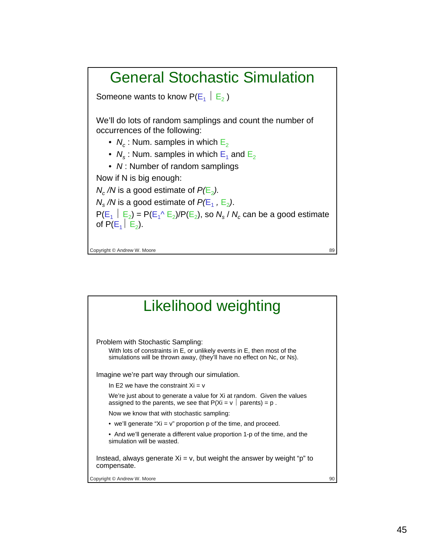## General Stochastic Simulation

Someone wants to know  $P(E_1 \mid E_2)$ 

We'll do lots of random samplings and count the number of occurrences of the following:

- $N_c$ : Num. samples in which  $E_2$
- $N_s$ : Num. samples in which  $E_1$  and  $E_2$
- *N* : Number of random samplings

Now if N is big enough:

 $N_c$  /*N* is a good estimate of  $P(E_2)$ .

 $N_s/N$  is a good estimate of  $P(E_1, E_2)$ .

 $P(E_1 \mid E_2) = P(E_1 \wedge E_2)/P(E_2)$ , so  $N_s / N_c$  can be a good estimate of  $P(E_1 \mid E_2)$ .

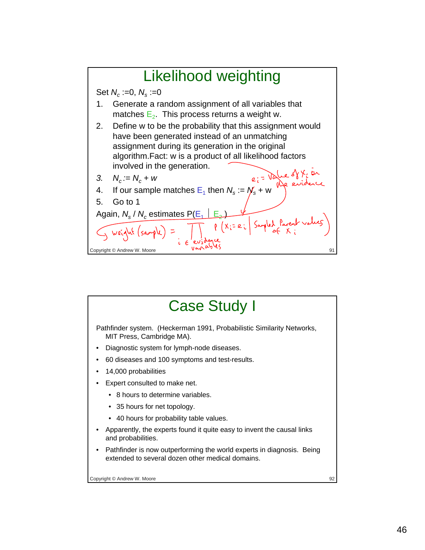